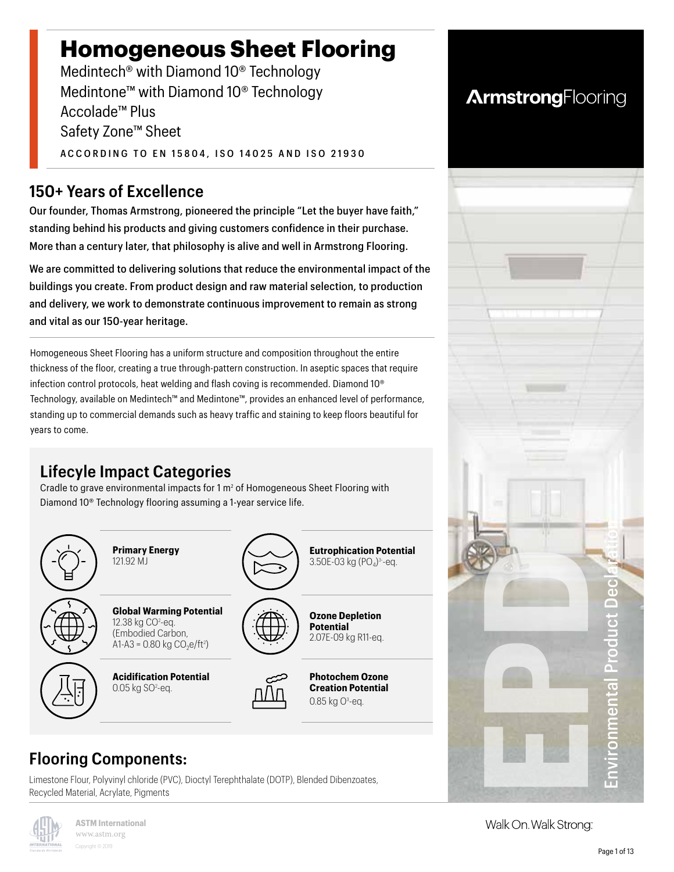# **Homogeneous Sheet Flooring**

Medintech® with Diamond 10® Technology Medintone™ with Diamond 10® Technology Accolade™ Plus Safety Zone™ Sheet ACCORDING TO EN 15804, ISO 14025 AND ISO 21930

### **150+ Years of Excellence**

Our founder, Thomas Armstrong, pioneered the principle "Let the buyer have faith," standing behind his products and giving customers confidence in their purchase. More than a century later, that philosophy is alive and well in Armstrong Flooring.

We are committed to delivering solutions that reduce the environmental impact of the buildings you create. From product design and raw material selection, to production and delivery, we work to demonstrate continuous improvement to remain as strong and vital as our 150-year heritage.

Homogeneous Sheet Flooring has a uniform structure and composition throughout the entire thickness of the floor, creating a true through-pattern construction. In aseptic spaces that require infection control protocols, heat welding and flash coving is recommended. Diamond 10® Technology, available on Medintech™ and Medintone™, provides an enhanced level of performance, standing up to commercial demands such as heavy traffic and staining to keep floors beautiful for years to come.

# **Lifecyle Impact Categories**

Cradle to grave environmental impacts for  $1 \text{ m}^2$  of Homogeneous Sheet Flooring with Diamond 10® Technology flooring assuming a 1-year service life.



# **Flooring Components:**

Limestone Flour, Polyvinyl chloride (PVC), Dioctyl Terephthalate (DOTP), Blended Dibenzoates, Recycled Material, Acrylate, Pigments





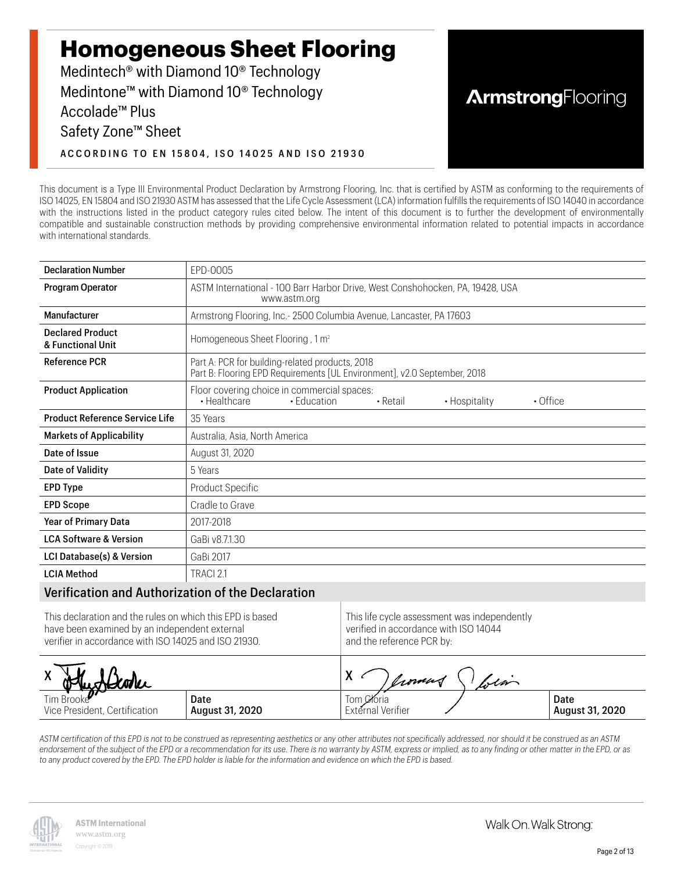# **Homogeneous Sheet Flooring**

Medintech® with Diamond 10® Technology Medintone™ with Diamond 10® Technology Accolade™ Plus Safety Zone™ Sheet ACCORDING TO EN 15804, ISO 14025 AND ISO 21930

# **ArmstrongFlooring**

This document is a Type III Environmental Product Declaration by Armstrong Flooring, Inc. that is certified by ASTM as conforming to the requirements of ISO 14025, EN 15804 and ISO 21930 ASTM has assessed that the Life Cycle Assessment (LCA) information fulfills the requirements of ISO 14040 in accordance with the instructions listed in the product category rules cited below. The intent of this document is to further the development of environmentally compatible and sustainable construction methods by providing comprehensive environmental information related to potential impacts in accordance with international standards.

| <b>Declaration Number</b>                         | EPD-0005                                                                                                                        |
|---------------------------------------------------|---------------------------------------------------------------------------------------------------------------------------------|
| Program Operator                                  | ASTM International - 100 Barr Harbor Drive, West Conshohocken, PA, 19428, USA<br>www.astm.org                                   |
| Manufacturer                                      | Armstrong Flooring, Inc.- 2500 Columbia Avenue, Lancaster, PA 17603                                                             |
| <b>Declared Product</b><br>& Functional Unit      | Homogeneous Sheet Flooring, 1 m <sup>2</sup>                                                                                    |
| <b>Reference PCR</b>                              | Part A: PCR for building-related products, 2018<br>Part B: Flooring EPD Requirements [UL Environment], v2.0 September, 2018     |
| <b>Product Application</b>                        | Floor covering choice in commercial spaces:<br>• Healthcare<br>• Hospitality<br>$\cdot$ Office<br>• Education<br>$\cdot$ Retail |
| <b>Product Reference Service Life</b>             | 35 Years                                                                                                                        |
| <b>Markets of Applicability</b>                   | Australia, Asia, North America                                                                                                  |
| Date of Issue                                     | August 31, 2020                                                                                                                 |
| Date of Validity                                  | 5 Years                                                                                                                         |
| <b>EPD Type</b>                                   | Product Specific                                                                                                                |
| <b>EPD Scope</b>                                  | Cradle to Grave                                                                                                                 |
| <b>Year of Primary Data</b>                       | 2017-2018                                                                                                                       |
| <b>LCA Software &amp; Version</b>                 | GaBi v8.7.1.30                                                                                                                  |
| LCI Database(s) & Version                         | GaBi 2017                                                                                                                       |
| <b>LCIA Method</b>                                | TRACI 2.1                                                                                                                       |
| Verification and Authorization of the Declaration |                                                                                                                                 |

#### Verification and Authorization of the Declaration

| This declaration and the rules on which this EPD is based | This life cycle assessment was independently |
|-----------------------------------------------------------|----------------------------------------------|
| have been examined by an independent external             | verified in accordance with ISO 14044        |
| verifier in accordance with ISO 14025 and ISO 21930.      | and the reference PCR by:                    |

| Hughlooke                     |                 | X<br>Crown        | $\omega$ lm |                 |
|-------------------------------|-----------------|-------------------|-------------|-----------------|
| Tim Brooke                    | Date            | Tom Coria         |             | Date            |
| Vice President, Certification | August 31, 2020 | External Verifier |             | August 31, 2020 |

*ASTM certification of this EPD is not to be construed as representing aesthetics or any other attributes not specifically addressed, nor should it be construed as an ASTM endorsement of the subject of the EPD or a recommendation for its use. There is no warranty by ASTM, express or implied, as to any finding or other matter in the EPD, or as to any product covered by the EPD. The EPD holder is liable for the information and evidence on which the EPD is based.*

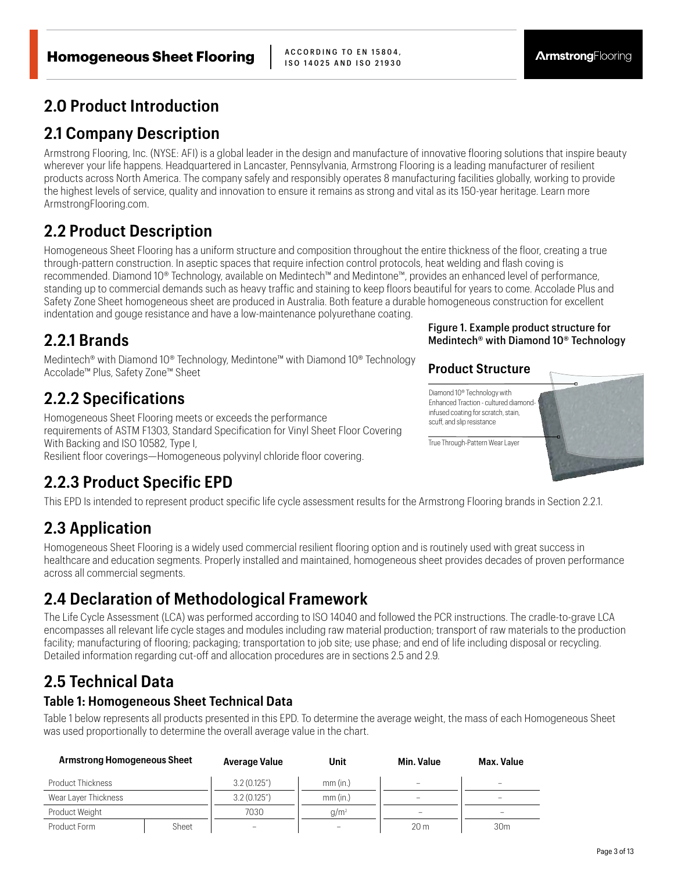ISO 14025 AND ISO 21930

#### **2.0 Product Introduction**

#### **2.1 Company Description**

Armstrong Flooring, Inc. (NYSE: AFI) is a global leader in the design and manufacture of innovative flooring solutions that inspire beauty wherever your life happens. Headquartered in Lancaster, Pennsylvania, Armstrong Flooring is a leading manufacturer of resilient products across North America. The company safely and responsibly operates 8 manufacturing facilities globally, working to provide the highest levels of service, quality and innovation to ensure it remains as strong and vital as its 150-year heritage. Learn more ArmstrongFlooring.com.

### **2.2 Product Description**

Homogeneous Sheet Flooring has a uniform structure and composition throughout the entire thickness of the floor, creating a true through-pattern construction. In aseptic spaces that require infection control protocols, heat welding and flash coving is recommended. Diamond 10® Technology, available on Medintech™ and Medintone™, provides an enhanced level of performance, standing up to commercial demands such as heavy traffic and staining to keep floors beautiful for years to come. Accolade Plus and Safety Zone Sheet homogeneous sheet are produced in Australia. Both feature a durable homogeneous construction for excellent indentation and gouge resistance and have a low-maintenance polyurethane coating.

#### **2.2.1 Brands**

Medintech® with Diamond 10® Technology, Medintone™ with Diamond 10® Technology Accolade™ Plus, Safety Zone™ Sheet

### **2.2.2 Specifications**

Homogeneous Sheet Flooring meets or exceeds the performance requirements of ASTM F1303, Standard Specification for Vinyl Sheet Floor Covering With Backing and ISO 10582, Type I, Resilient floor coverings—Homogeneous polyvinyl chloride floor covering.

### **2.2.3 Product Specific EPD**

#### Figure 1. Example product structure for Medintech® with Diamond 10® Technology

#### **Product Structure**



This EPD Is intended to represent product specific life cycle assessment results for the Armstrong Flooring brands in Section 2.2.1.

# **2.3 Application**

Homogeneous Sheet Flooring is a widely used commercial resilient flooring option and is routinely used with great success in healthcare and education segments. Properly installed and maintained, homogeneous sheet provides decades of proven performance across all commercial segments.

# **2.4 Declaration of Methodological Framework**

The Life Cycle Assessment (LCA) was performed according to ISO 14040 and followed the PCR instructions. The cradle-to-grave LCA encompasses all relevant life cycle stages and modules including raw material production; transport of raw materials to the production facility; manufacturing of flooring; packaging; transportation to job site; use phase; and end of life including disposal or recycling. Detailed information regarding cut-off and allocation procedures are in sections 2.5 and 2.9.

# **2.5 Technical Data**

#### **Table 1: Homogeneous Sheet Technical Data**

Table 1 below represents all products presented in this EPD. To determine the average weight, the mass of each Homogeneous Sheet was used proportionally to determine the overall average value in the chart.

| <b>Armstrong Homogeneous Sheet</b> |       | Average Value                        | Unit     | <b>Min. Value</b>        | Max. Value      |
|------------------------------------|-------|--------------------------------------|----------|--------------------------|-----------------|
| Product Thickness                  |       | 3.2(0.125 <sup>7</sup> )<br>mm (in.) |          | $\overline{\phantom{a}}$ | $\sim$          |
| Wear Layer Thickness               |       | 3.2(0.125 <sup>7</sup> )             | mm (in.) | $\sim$                   |                 |
| Product Weight                     |       | 7030                                 | $q/m^2$  |                          | $\sim$          |
| Product Form                       | Sheet | -                                    |          | 20 <sub>m</sub>          | 30 <sub>m</sub> |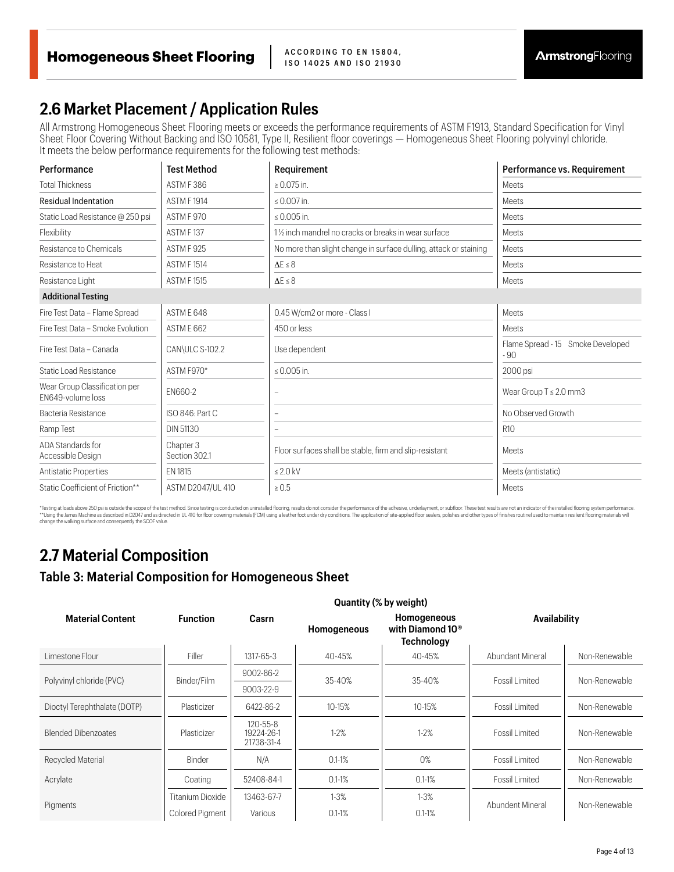#### **2.6 Market Placement / Application Rules**

All Armstrong Homogeneous Sheet Flooring meets or exceeds the performance requirements of ASTM F1913, Standard Specification for Vinyl Sheet Floor Covering Without Backing and ISO 10581, Type II, Resilient floor coverings — Homogeneous Sheet Flooring polyvinyl chloride. It meets the below performance requirements for the following test methods:

| Performance                                        | <b>Test Method</b>         | Requirement                                                       | Performance vs. Requirement               |
|----------------------------------------------------|----------------------------|-------------------------------------------------------------------|-------------------------------------------|
| <b>Total Thickness</b>                             | ASTM F386                  | $\geq 0.075$ in.                                                  | Meets                                     |
| <b>Residual Indentation</b>                        | <b>ASTM F1914</b>          | $\leq 0.007$ in.                                                  | Meets                                     |
| Static Load Resistance @ 250 psi                   | ASTM F 970                 | ≤ 0.005 in.                                                       | Meets                                     |
| Flexibility                                        | ASTM F137                  | 11/ <sub>2</sub> inch mandrel no cracks or breaks in wear surface | Meets                                     |
| Resistance to Chemicals                            | ASTM F925                  | No more than slight change in surface dulling, attack or staining | Meets                                     |
| Resistance to Heat                                 | <b>ASTM F1514</b>          | $\Lambda$ F $\leq$ 8                                              | Meets                                     |
| Resistance Light                                   | <b>ASTM F1515</b>          | $\Delta E \leq 8$                                                 | Meets                                     |
| <b>Additional Testing</b>                          |                            |                                                                   |                                           |
| Fire Test Data - Flame Spread                      | ASTM F 648                 | 0.45 W/cm2 or more - Class I                                      | Meets                                     |
| Fire Test Data - Smoke Evolution                   | ASTME 662                  | 450 or less                                                       | Meets                                     |
| Fire Test Data - Canada                            | CAN\ULC S-102.2            | Use dependent                                                     | Flame Spread - 15 Smoke Developed<br>- 90 |
| <b>Static Load Resistance</b>                      | ASTM F970*                 | $\leq 0.005$ in.                                                  | 2000 psi                                  |
| Wear Group Classification per<br>FN649-volume loss | EN660-2                    |                                                                   | Wear Group $T \leq 2.0$ mm3               |
| Bacteria Resistance                                | ISO 846: Part C            |                                                                   | No Observed Growth                        |
| Ramp Test                                          | DIN 51130                  |                                                                   | R <sub>10</sub>                           |
| ADA Standards for<br>Accessible Design             | Chapter 3<br>Section 302.1 | Floor surfaces shall be stable, firm and slip-resistant           | Meets                                     |
| Antistatic Properties                              | EN 1815                    | $\leq 2.0$ kV                                                     | Meets (antistatic)                        |
| Static Coefficient of Friction**                   | ASTM D2047/UL 410          | $\geq 0.5$                                                        | <b>Meets</b>                              |

\*Testing at loads above 250 psi is outside the scope of the test method. Since testing is conducted on uninstalled flooring, results do not consider the performance of the adhesive, underlay underloys underloys the setch s change the walking surface and consequently the SCOF value.

### **2.7 Material Composition**

**Table 3: Material Composition for Homogeneous Sheet** 

|                              |                         |                                            |             | Quantity (% by weight)                                           |                       |               |
|------------------------------|-------------------------|--------------------------------------------|-------------|------------------------------------------------------------------|-----------------------|---------------|
| <b>Material Content</b>      | <b>Function</b>         | Casrn                                      | Homogeneous | Homogeneous<br>with Diamond 10 <sup>®</sup><br><b>Technology</b> | <b>Availability</b>   |               |
| Limestone Flour              | Filler                  | 1317-65-3                                  | 40-45%      | 40-45%                                                           | Abundant Mineral      | Non-Renewable |
|                              | Binder/Film             | 9002-86-2                                  |             | 35-40%                                                           | Fossil Limited        | Non-Renewable |
| Polyvinyl chloride (PVC)     |                         | 9003-22-9                                  | 35-40%      |                                                                  |                       |               |
| Dioctyl Terephthalate (DOTP) | Plasticizer             | 6422-86-2                                  | 10-15%      | 10-15%                                                           | Fossil Limited        | Non-Renewable |
| <b>Blended Dibenzoates</b>   | Plasticizer             | $120 - 55 - 8$<br>19224-26-1<br>21738-31-4 | $1-2%$      | $1 - 2%$                                                         | Fossil Limited        | Non-Renewable |
| Recycled Material            | Binder                  | N/A                                        | $0.1 - 1%$  | 0%                                                               | Fossil Limited        | Non-Renewable |
| Acrylate                     | Coating                 | 52408-84-1                                 | $0.1 - 1%$  | $0.1 - 1%$                                                       | <b>Fossil Limited</b> | Non-Renewable |
|                              | <b>Titanium Dioxide</b> | 13463-67-7                                 | $1 - 3%$    | $1 - 3%$                                                         |                       |               |
| Pigments                     | Colored Pigment         | Various                                    | $0.1 - 1%$  | $0.1 - 1%$                                                       | Abundent Mineral      | Non-Renewable |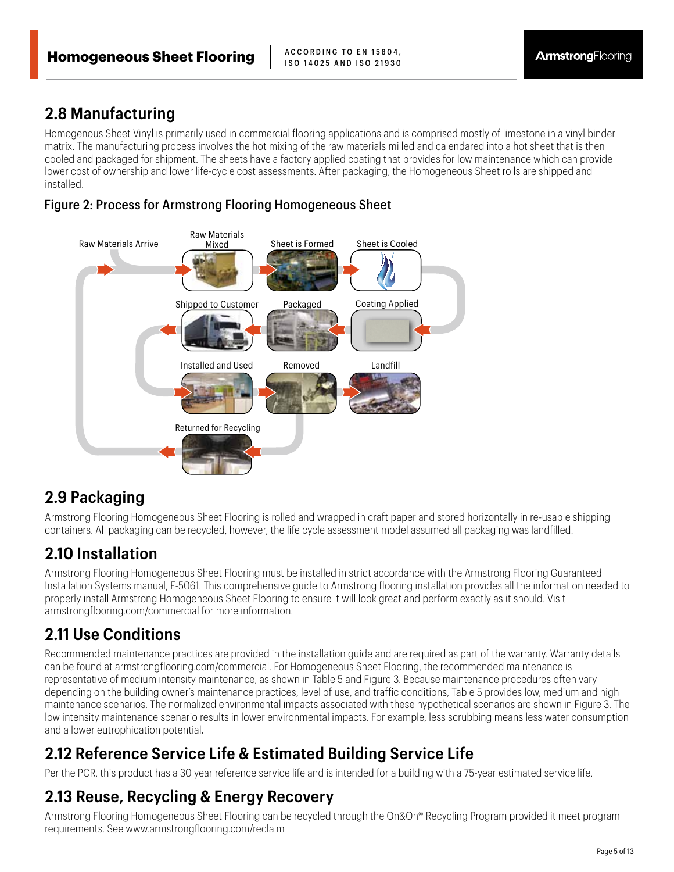#### **2.8 Manufacturing**

Homogenous Sheet Vinyl is primarily used in commercial flooring applications and is comprised mostly of limestone in a vinyl binder matrix. The manufacturing process involves the hot mixing of the raw materials milled and calendared into a hot sheet that is then cooled and packaged for shipment. The sheets have a factory applied coating that provides for low maintenance which can provide lower cost of ownership and lower life-cycle cost assessments. After packaging, the Homogeneous Sheet rolls are shipped and installed.

#### Figure 2: Process for Armstrong Flooring Homogeneous Sheet



#### **2.9 Packaging**

Armstrong Flooring Homogeneous Sheet Flooring is rolled and wrapped in craft paper and stored horizontally in re-usable shipping containers. All packaging can be recycled, however, the life cycle assessment model assumed all packaging was landfilled.

# **2.10 Installation**

Armstrong Flooring Homogeneous Sheet Flooring must be installed in strict accordance with the Armstrong Flooring Guaranteed Installation Systems manual, F-5061. This comprehensive guide to Armstrong flooring installation provides all the information needed to properly install Armstrong Homogeneous Sheet Flooring to ensure it will look great and perform exactly as it should. Visit armstrongflooring.com/commercial for more information.

# **2.11 Use Conditions**

Recommended maintenance practices are provided in the installation guide and are required as part of the warranty. Warranty details can be found at armstrongflooring.com/commercial. For Homogeneous Sheet Flooring, the recommended maintenance is representative of medium intensity maintenance, as shown in Table 5 and Figure 3. Because maintenance procedures often vary depending on the building owner's maintenance practices, level of use, and traffic conditions, Table 5 provides low, medium and high maintenance scenarios. The normalized environmental impacts associated with these hypothetical scenarios are shown in Figure 3. The low intensity maintenance scenario results in lower environmental impacts. For example, less scrubbing means less water consumption and a lower eutrophication potential.

# **2.12 Reference Service Life & Estimated Building Service Life**

Per the PCR, this product has a 30 year reference service life and is intended for a building with a 75-year estimated service life.

# **2.13 Reuse, Recycling & Energy Recovery**

Armstrong Flooring Homogeneous Sheet Flooring can be recycled through the On&On® Recycling Program provided it meet program requirements. See www.armstrongflooring.com/reclaim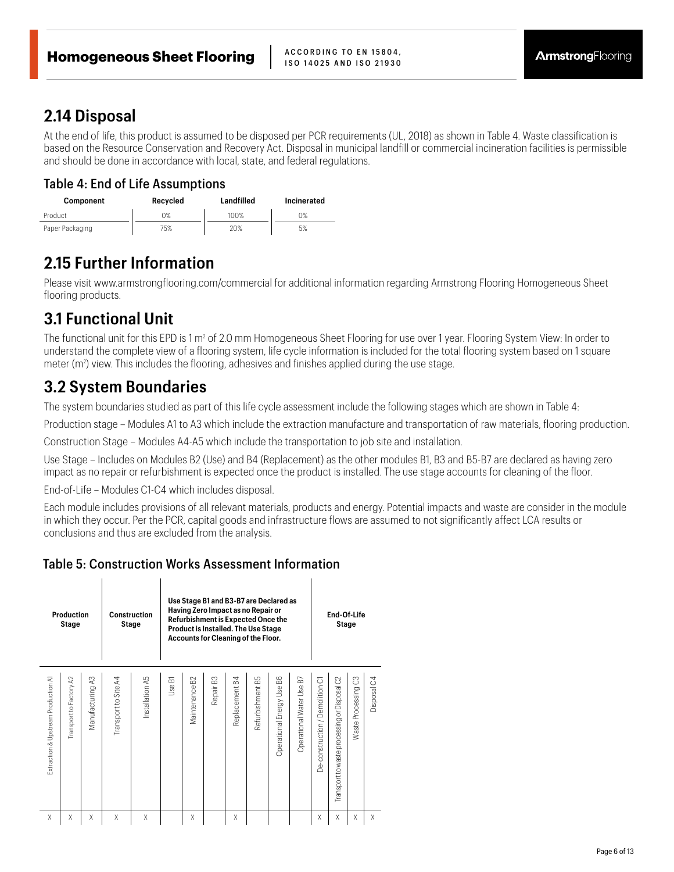#### **2.14 Disposal**

At the end of life, this product is assumed to be disposed per PCR requirements (UL, 2018) as shown in Table 4. Waste classification is based on the Resource Conservation and Recovery Act. Disposal in municipal landfill or commercial incineration facilities is permissible and should be done in accordance with local, state, and federal regulations.

#### Table 4: End of Life Assumptions

| <b>Component</b> | Recycled | Landfilled | Incinerated |
|------------------|----------|------------|-------------|
| Product          | 0%       | 100%       | 0%          |
| Paper Packaging  | 75%      | 20%        | 5%          |

### **2.15 Further Information**

Please visit www.armstrongflooring.com/commercial for additional information regarding Armstrong Flooring Homogeneous Sheet flooring products.

# **3.1 Functional Unit**

 $\overline{1}$ 

The functional unit for this EPD is 1 m<sup>2</sup> of 2.0 mm Homogeneous Sheet Flooring for use over 1 year. Flooring System View: In order to understand the complete view of a flooring system, life cycle information is included for the total flooring system based on 1 square meter  $(m^2)$  view. This includes the flooring, adhesives and finishes applied during the use stage.

### **3.2 System Boundaries**

The system boundaries studied as part of this life cycle assessment include the following stages which are shown in Table 4:

Production stage – Modules A1 to A3 which include the extraction manufacture and transportation of raw materials, flooring production.

Construction Stage – Modules A4-A5 which include the transportation to job site and installation.

Use Stage – Includes on Modules B2 (Use) and B4 (Replacement) as the other modules B1, B3 and B5-B7 are declared as having zero impact as no repair or refurbishment is expected once the product is installed. The use stage accounts for cleaning of the floor.

End-of-Life – Modules C1-C4 which includes disposal.

 $\overline{1}$ 

Each module includes provisions of all relevant materials, products and energy. Potential impacts and waste are consider in the module in which they occur. Per the PCR, capital goods and infrastructure flows are assumed to not significantly affect LCA results or conclusions and thus are excluded from the analysis.

#### Table 5: Construction Works Assessment Information

| <b>Production</b><br>Stage          |                                   |                     | <b>Construction</b><br>Stage | Use Stage B1 and B3-B7 are Declared as<br>Having Zero Impact as no Repair or<br>Refurbishment is Expected Once the<br>Product is Installed. The Use Stage<br>Accounts for Cleaning of the Floor. |                 |                  |                       |                   | End-Of-Life<br>Stage |                              |                                    |                                   |                                                   |                        |             |
|-------------------------------------|-----------------------------------|---------------------|------------------------------|--------------------------------------------------------------------------------------------------------------------------------------------------------------------------------------------------|-----------------|------------------|-----------------------|-------------------|----------------------|------------------------------|------------------------------------|-----------------------------------|---------------------------------------------------|------------------------|-------------|
| Extraction & Upstream Production A1 | $\approx$<br>Transport to Factory | S,<br>Manufacturing | Transport to Site A4         | Installation A5                                                                                                                                                                                  | 둡<br><b>Jse</b> | S<br>Maintenance | Repair B <sub>3</sub> | 54<br>Replacement | 59<br>Refurbishment  | 88<br>Operational Energy Use | 67<br><b>Operational Water Use</b> | Demolition C1<br>De-construction/ | 8<br>Disposal<br>Transport to waste processing or | C3<br>Waste Processing | Disposal C4 |
| X                                   | X                                 | X                   | Χ                            | Χ                                                                                                                                                                                                |                 | Χ                |                       | X                 |                      |                              |                                    | X                                 | X                                                 | X                      | X           |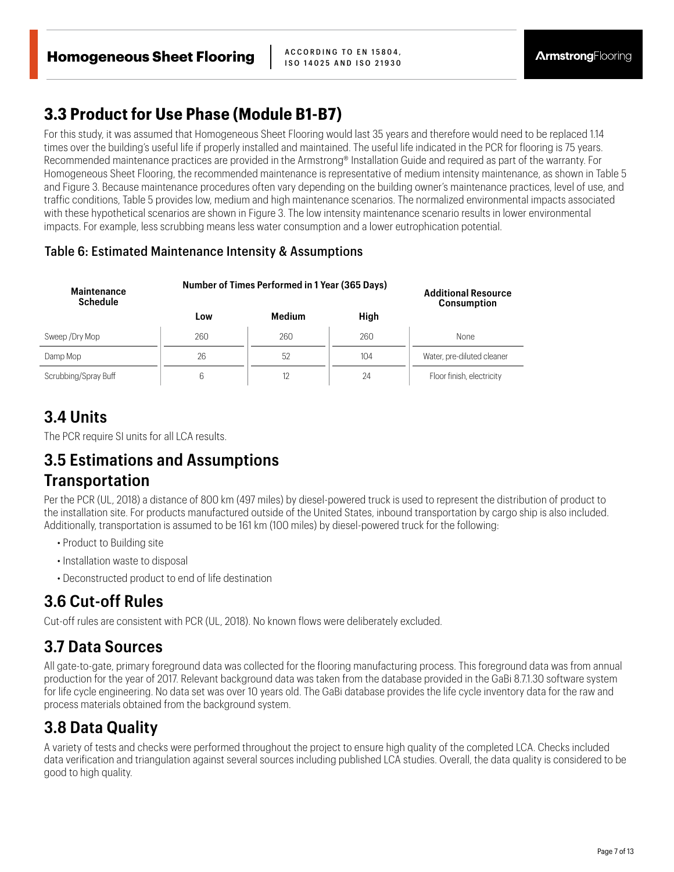### **3.3 Product for Use Phase (Module B1-B7)**

For this study, it was assumed that Homogeneous Sheet Flooring would last 35 years and therefore would need to be replaced 1.14 times over the building's useful life if properly installed and maintained. The useful life indicated in the PCR for flooring is 75 years. Recommended maintenance practices are provided in the Armstrong® Installation Guide and required as part of the warranty. For Homogeneous Sheet Flooring, the recommended maintenance is representative of medium intensity maintenance, as shown in Table 5 and Figure 3. Because maintenance procedures often vary depending on the building owner's maintenance practices, level of use, and traffic conditions, Table 5 provides low, medium and high maintenance scenarios. The normalized environmental impacts associated with these hypothetical scenarios are shown in Figure 3. The low intensity maintenance scenario results in lower environmental impacts. For example, less scrubbing means less water consumption and a lower eutrophication potential.

#### Table 6: Estimated Maintenance Intensity & Assumptions

| Maintenance<br><b>Schedule</b> | Number of Times Performed in 1 Year (365 Days) | <b>Additional Resource</b><br><b>Consumption</b> |      |                            |
|--------------------------------|------------------------------------------------|--------------------------------------------------|------|----------------------------|
|                                | Low                                            | Medium                                           | High |                            |
| Sweep / Dry Mop                | 260                                            | 260                                              | 260  | <b>None</b>                |
| Damp Mop                       | 26                                             | 52                                               | 104  | Water, pre-diluted cleaner |
| Scrubbing/Spray Buff           | 6                                              |                                                  | 24   | Floor finish, electricity  |

### **3.4 Units**

The PCR require SI units for all LCA results.

#### **3.5 Estimations and Assumptions**

#### **Transportation**

Per the PCR (UL, 2018) a distance of 800 km (497 miles) by diesel-powered truck is used to represent the distribution of product to the installation site. For products manufactured outside of the United States, inbound transportation by cargo ship is also included. Additionally, transportation is assumed to be 161 km (100 miles) by diesel-powered truck for the following:

- Product to Building site
- Installation waste to disposal
- Deconstructed product to end of life destination

# **3.6 Cut-off Rules**

Cut-off rules are consistent with PCR (UL, 2018). No known flows were deliberately excluded.

# **3.7 Data Sources**

All gate-to-gate, primary foreground data was collected for the flooring manufacturing process. This foreground data was from annual production for the year of 2017. Relevant background data was taken from the database provided in the GaBi 8.7.1.30 software system for life cycle engineering. No data set was over 10 years old. The GaBi database provides the life cycle inventory data for the raw and process materials obtained from the background system.

# **3.8 Data Quality**

A variety of tests and checks were performed throughout the project to ensure high quality of the completed LCA. Checks included data verification and triangulation against several sources including published LCA studies. Overall, the data quality is considered to be good to high quality.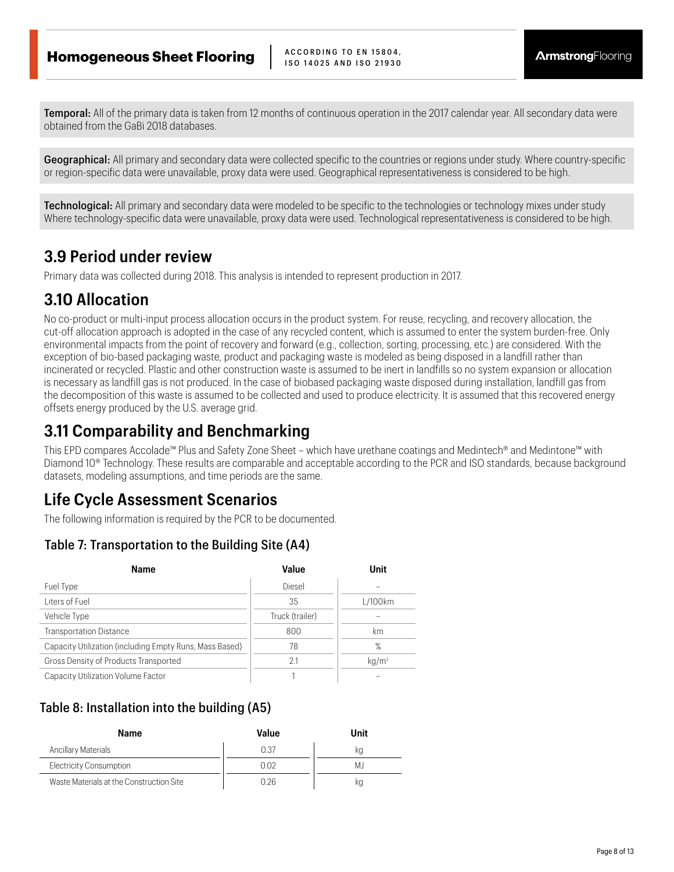Temporal: All of the primary data is taken from 12 months of continuous operation in the 2017 calendar year. All secondary data were obtained from the GaBi 2018 databases.

Geographical: All primary and secondary data were collected specific to the countries or regions under study. Where country-specific or region-specific data were unavailable, proxy data were used. Geographical representativeness is considered to be high.

**Technological:** All primary and secondary data were modeled to be specific to the technologies or technology mixes under study Where technology-specific data were unavailable, proxy data were used. Technological representativeness is considered to be high.

#### **3.9 Period under review**

Primary data was collected during 2018. This analysis is intended to represent production in 2017.

#### **3.10 Allocation**

No co-product or multi-input process allocation occurs in the product system. For reuse, recycling, and recovery allocation, the cut-off allocation approach is adopted in the case of any recycled content, which is assumed to enter the system burden-free. Only environmental impacts from the point of recovery and forward (e.g., collection, sorting, processing, etc.) are considered. With the exception of bio-based packaging waste, product and packaging waste is modeled as being disposed in a landfill rather than incinerated or recycled. Plastic and other construction waste is assumed to be inert in landfills so no system expansion or allocation is necessary as landfill gas is not produced. In the case of biobased packaging waste disposed during installation, landfill gas from the decomposition of this waste is assumed to be collected and used to produce electricity. It is assumed that this recovered energy offsets energy produced by the U.S. average grid.

### **3.11 Comparability and Benchmarking**

This EPD compares Accolade™ Plus and Safety Zone Sheet – which have urethane coatings and Medintech® and Medintone™ with Diamond 10<sup>®</sup> Technology. These results are comparable and acceptable according to the PCR and ISO standards, because background datasets, modeling assumptions, and time periods are the same.

#### **Life Cycle Assessment Scenarios**

The following information is required by the PCR to be documented.

#### Table 7: Transportation to the Building Site (A4)

| <b>Name</b>                                             | Value           | Unit     |
|---------------------------------------------------------|-----------------|----------|
| Fuel Type                                               | Diesel          |          |
| Liters of Fuel                                          | 35              | L/100km  |
| Vehicle Type                                            | Truck (trailer) |          |
| <b>Transportation Distance</b>                          | 800             | km       |
| Capacity Utilization (including Empty Runs, Mass Based) | 78              | $\%$     |
| Gross Density of Products Transported                   | 2.1             | $kq/m^2$ |
| Capacity Utilization Volume Factor                      |                 |          |

#### Table 8: Installation into the building (A5)

| <b>Name</b>                              | Value | Unit |
|------------------------------------------|-------|------|
| Ancillary Materials                      | 0.37  | Кū   |
| <b>Electricity Consumption</b>           | በ በ2  | МJ   |
| Waste Materials at the Construction Site | በ 26  | кg   |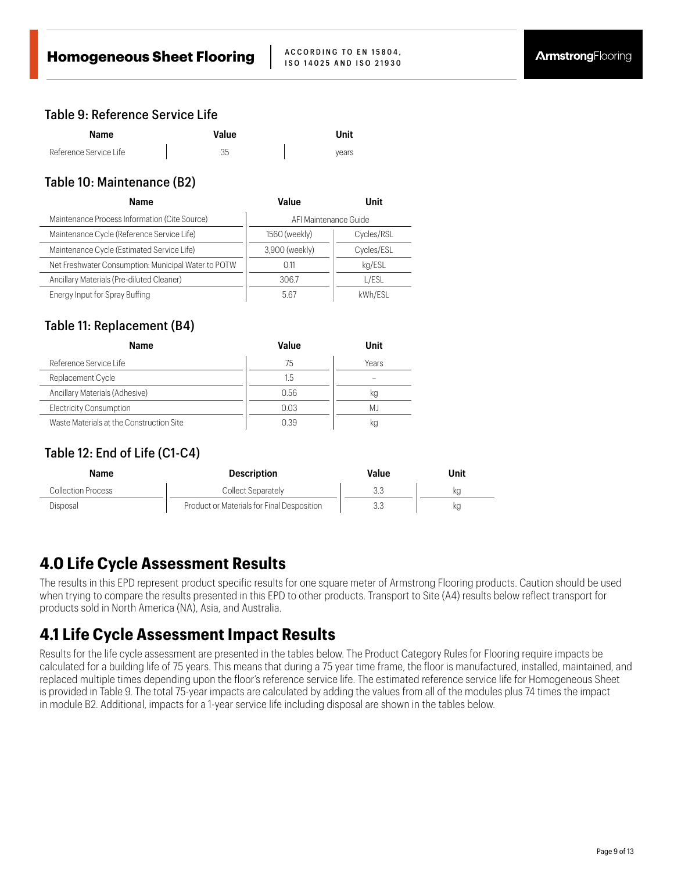#### Table 9: Reference Service Life

| Name                   | Value | Unit  |
|------------------------|-------|-------|
| Reference Service Life | 35    | vears |

#### Table 10: Maintenance (B2)

| <b>Name</b>                                         | Value                 | Unit       |  |  |
|-----------------------------------------------------|-----------------------|------------|--|--|
| Maintenance Process Information (Cite Source)       | AFI Maintenance Guide |            |  |  |
| Maintenance Cycle (Reference Service Life)          | 1560 (weekly)         | Cycles/RSL |  |  |
| Maintenance Cycle (Estimated Service Life)          | 3,900 (weekly)        | Cycles/ESL |  |  |
| Net Freshwater Consumption: Municipal Water to POTW | 0.11                  | kg/ESL     |  |  |
| Ancillary Materials (Pre-diluted Cleaner)           | 306.7                 | l/ESL      |  |  |
| Energy Input for Spray Buffing                      | 5.67                  | kWh/ESL    |  |  |

#### Table 11: Replacement (B4)

| <b>Name</b>                              | Value | Unit  |
|------------------------------------------|-------|-------|
| Reference Service Life                   | 75    | Years |
| Replacement Cycle                        | 1.5   |       |
| Ancillary Materials (Adhesive)           | 0.56  | kg    |
| <b>Electricity Consumption</b>           | 0.03  | МJ    |
| Waste Materials at the Construction Site | 0.39  | кg    |

#### Table 12: End of Life (C1-C4)

| Name                      | <b>Description</b>                         | Value | Unit |
|---------------------------|--------------------------------------------|-------|------|
| <b>Collection Process</b> | Collect Separately                         |       | kq   |
| Disposal                  | Product or Materials for Final Desposition | 3.3   | кg   |

### **4.0 Life Cycle Assessment Results**

The results in this EPD represent product specific results for one square meter of Armstrong Flooring products. Caution should be used when trying to compare the results presented in this EPD to other products. Transport to Site (A4) results below reflect transport for products sold in North America (NA), Asia, and Australia.

#### **4.1 Life Cycle Assessment Impact Results**

Results for the life cycle assessment are presented in the tables below. The Product Category Rules for Flooring require impacts be calculated for a building life of 75 years. This means that during a 75 year time frame, the floor is manufactured, installed, maintained, and replaced multiple times depending upon the floor's reference service life. The estimated reference service life for Homogeneous Sheet is provided in Table 9. The total 75-year impacts are calculated by adding the values from all of the modules plus 74 times the impact in module B2. Additional, impacts for a 1-year service life including disposal are shown in the tables below.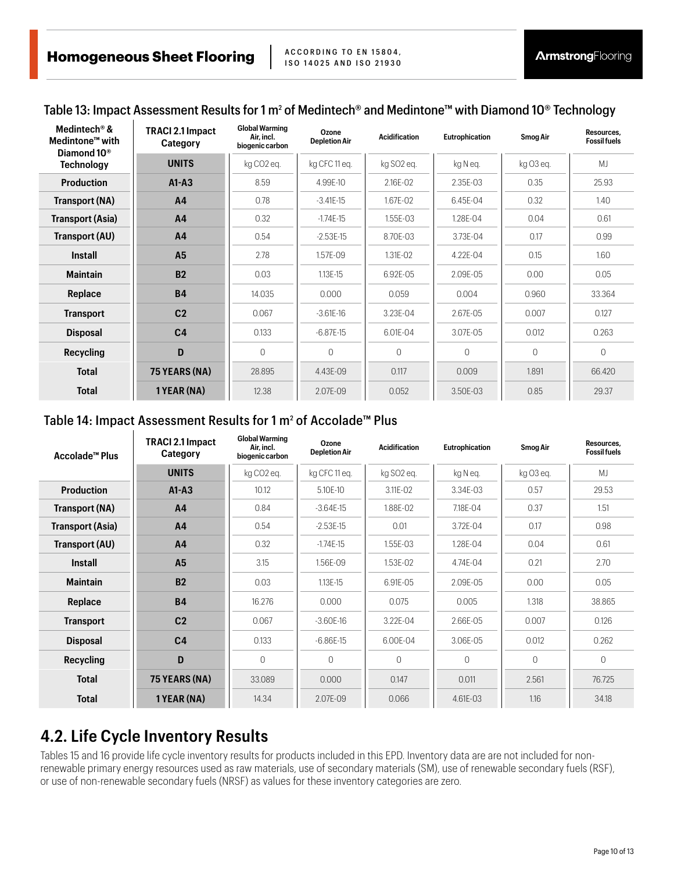#### Table 13: Impact Assessment Results for 1 m<sup>2</sup> of Medintech® and Medintone™ with Diamond 10® Technology

| Medintech® &<br>Medintone <sup>™</sup> with<br>Diamond 10 <sup>®</sup> | <b>TRACI 2.1 Impact</b><br>Category | <b>Global Warming</b><br>Air. incl.<br>biogenic carbon | Ozone<br><b>Depletion Air</b> | <b>Acidification</b>   | <b>Eutrophication</b> | <b>Smog Air</b> | Resources.<br><b>Fossil fuels</b> |
|------------------------------------------------------------------------|-------------------------------------|--------------------------------------------------------|-------------------------------|------------------------|-----------------------|-----------------|-----------------------------------|
| <b>Technology</b>                                                      | <b>UNITS</b>                        | kg CO2 eq.                                             | kg CFC 11 eq.                 | kg SO <sub>2</sub> eq. | kg Neq.               | kg O3 eq.       | <b>MJ</b>                         |
| <b>Production</b>                                                      | $A1 - A3$                           | 8.59                                                   | 4.99E-10                      | 2.16E-02               | 2.35E-03              | 0.35            | 25.93                             |
| <b>Transport (NA)</b>                                                  | A <sub>4</sub>                      | 0.78                                                   | $-3.41E-15$                   | 1.67E-02               | 6.45E-04              | 0.32            | 1.40                              |
| <b>Transport (Asia)</b>                                                | A <sub>4</sub>                      | 0.32                                                   | $-1.74E-15$                   | 1.55E-03               | 1.28E-04              | 0.04            | 0.61                              |
| Transport (AU)                                                         | A4                                  | 0.54                                                   | $-2.53E-15$                   | 8.70E-03               | 3.73E-04              | 0.17            | 0.99                              |
| <b>Install</b>                                                         | <b>A5</b>                           | 2.78                                                   | 1.57E-09                      | 1.31E-02               | 4.22E-04              | 0.15            | 1.60                              |
| <b>Maintain</b>                                                        | <b>B2</b>                           | 0.03                                                   | 1.13E-15                      | 6.92E-05               | 2.09E-05              | 0.00            | 0.05                              |
| Replace                                                                | <b>B4</b>                           | 14.035                                                 | 0.000                         | 0.059                  | 0.004                 | 0.960           | 33.364                            |
| <b>Transport</b>                                                       | C <sub>2</sub>                      | 0.067                                                  | $-3.61E-16$                   | 3.23E-04               | 2.67E-05              | 0.007           | 0.127                             |
| <b>Disposal</b>                                                        | C <sub>4</sub>                      | 0.133                                                  | $-6.87E-15$                   | 6.01E-04               | 3.07E-05              | 0.012           | 0.263                             |
| <b>Recycling</b>                                                       | D                                   | $\Omega$                                               | $\Omega$                      | $\Omega$               | $\Omega$              | $\Omega$        | $\Omega$                          |
| <b>Total</b>                                                           | 75 YEARS (NA)                       | 28.895                                                 | 4.43E-09                      | 0.117                  | 0.009                 | 1.891           | 66.420                            |
| <b>Total</b>                                                           | 1 YEAR (NA)                         | 12.38                                                  | 2.07E-09                      | 0.052                  | 3.50E-03              | 0.85            | 29.37                             |

#### Table 14: Impact Assessment Results for 1 m<sup>2</sup> of Accolade™ Plus

| Accolade™ Plus          | <b>TRACI 2.1 Impact</b><br>Category | <b>Global Warming</b><br>Air. incl.<br>biogenic carbon | Ozone<br><b>Depletion Air</b> | <b>Acidification</b>   | <b>Eutrophication</b> | <b>Smog Air</b> | Resources.<br><b>Fossil fuels</b> |
|-------------------------|-------------------------------------|--------------------------------------------------------|-------------------------------|------------------------|-----------------------|-----------------|-----------------------------------|
|                         | <b>UNITS</b>                        | kg CO2 eg.                                             | kg CFC 11 eg.                 | kg SO <sub>2</sub> eg. | kg Neg.               | kg O3 eg.       | M <sub>l</sub>                    |
| <b>Production</b>       | $A1-A3$                             | 10.12                                                  | 5.10E-10                      | 3.11E-02               | 3.34E-03              | 0.57            | 29.53                             |
| Transport (NA)          | A <sub>4</sub>                      | 0.84                                                   | $-3.64E-15$                   | 1.88E-02               | 7.18E-04              | 0.37            | 1.51                              |
| <b>Transport (Asia)</b> | A <sub>4</sub>                      | 0.54                                                   | $-2.53E-15$                   | 0.01                   | 3.72E-04              | 0.17            | 0.98                              |
| Transport (AU)          | A <sub>4</sub>                      | 0.32                                                   | $-1.74E-15$                   | 1.55E-03               | 1.28E-04              | 0.04            | 0.61                              |
| Install                 | A <sub>5</sub>                      | 3.15                                                   | 1.56E-09                      | 1.53E-02               | 4.74E-04              | 0.21            | 2.70                              |
| <b>Maintain</b>         | B <sub>2</sub>                      | 0.03                                                   | 1.13E-15                      | 6.91E-05               | 2.09E-05              | 0.00            | 0.05                              |
| Replace                 | <b>B4</b>                           | 16.276                                                 | 0.000                         | 0.075                  | 0.005                 | 1.318           | 38.865                            |
| <b>Transport</b>        | C <sub>2</sub>                      | 0.067                                                  | $-3.60E-16$                   | 3.22E-04               | 2.66E-05              | 0.007           | 0.126                             |
| <b>Disposal</b>         | C <sub>4</sub>                      | 0.133                                                  | $-6.86E-15$                   | 6.00E-04               | 3.06E-05              | 0.012           | 0.262                             |
| <b>Recycling</b>        | D                                   | 0                                                      | $\Omega$                      | $\Omega$               | $\bigcap$             | $\Omega$        | $\Omega$                          |
| <b>Total</b>            | 75 YEARS (NA)                       | 33.089                                                 | 0.000                         | 0.147                  | 0.011                 | 2.561           | 76.725                            |
| <b>Total</b>            | 1 YEAR (NA)                         | 14.34                                                  | 2.07E-09                      | 0.066                  | 4.61E-03              | 1.16            | 34.18                             |

#### **4.2. Life Cycle Inventory Results**

Tables 15 and 16 provide life cycle inventory results for products included in this EPD. Inventory data are are not included for nonrenewable primary energy resources used as raw materials, use of secondary materials (SM), use of renewable secondary fuels (RSF), or use of non-renewable secondary fuels (NRSF) as values for these inventory categories are zero.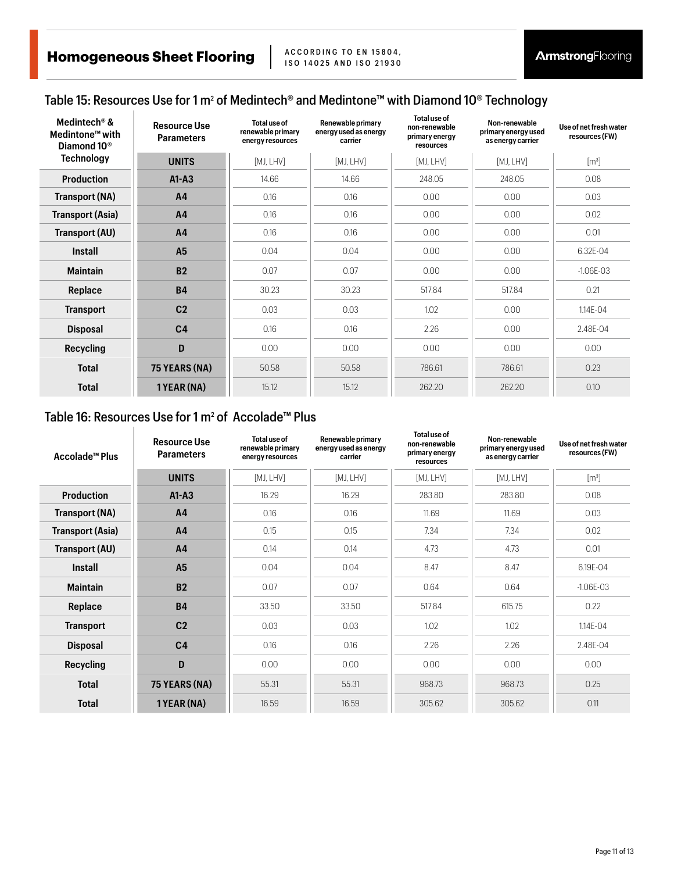#### Table 15: Resources Use for 1 m<sup>2</sup> of Medintech® and Medintone™ with Diamond 10® Technology

| Medintech® &<br>Medintone <sup>™</sup> with<br>Diamond 10 <sup>®</sup> | <b>Resource Use</b><br><b>Parameters</b> | Total use of<br>renewable primary<br>energy resources | Renewable primary<br>energy used as energy<br>carrier | Total use of<br>non-renewable<br>primary energy<br>resources | Non-renewable<br>primary energy used<br>as energy carrier | Use of net fresh water<br>resources (FW) |
|------------------------------------------------------------------------|------------------------------------------|-------------------------------------------------------|-------------------------------------------------------|--------------------------------------------------------------|-----------------------------------------------------------|------------------------------------------|
| <b>Technology</b>                                                      | <b>UNITS</b>                             | [MJ, LHV]                                             | [MJ, LHV]                                             | [MJ, LHV]                                                    | [MJ, LHV]                                                 | $\lceil m^3 \rceil$                      |
| <b>Production</b>                                                      | $A1 - A3$                                | 14.66                                                 | 14.66                                                 | 248.05                                                       | 248.05                                                    | 0.08                                     |
| Transport (NA)                                                         | A4                                       | 0.16                                                  | 0.16                                                  | 0.00                                                         | 0.00                                                      | 0.03                                     |
| <b>Transport (Asia)</b>                                                | A <sub>4</sub>                           | 0.16                                                  | 0.16                                                  | 0.00                                                         | 0.00                                                      | 0.02                                     |
| Transport (AU)                                                         | A <sub>4</sub>                           | 0.16                                                  | 0.16                                                  | 0.00                                                         | 0.00                                                      | 0.01                                     |
| <b>Install</b>                                                         | <b>A5</b>                                | 0.04                                                  | 0.04                                                  | 0.00                                                         | 0.00                                                      | 6.32E-04                                 |
| <b>Maintain</b>                                                        | <b>B2</b>                                | 0.07                                                  | 0.07                                                  | 0.00                                                         | 0.00                                                      | $-1.06E - 03$                            |
| Replace                                                                | <b>B4</b>                                | 30.23                                                 | 30.23                                                 | 517.84                                                       | 517.84                                                    | 0.21                                     |
| <b>Transport</b>                                                       | C <sub>2</sub>                           | 0.03                                                  | 0.03                                                  | 1.02                                                         | 0.00                                                      | 1.14E-04                                 |
| <b>Disposal</b>                                                        | C <sub>4</sub>                           | 0.16                                                  | 0.16                                                  | 2.26                                                         | 0.00                                                      | 2.48E-04                                 |
| <b>Recycling</b>                                                       | D                                        | 0.00                                                  | 0.00                                                  | 0.00                                                         | 0.00                                                      | 0.00                                     |
| <b>Total</b>                                                           | 75 YEARS (NA)                            | 50.58                                                 | 50.58                                                 | 786.61                                                       | 786.61                                                    | 0.23                                     |
| <b>Total</b>                                                           | 1 YEAR (NA)                              | 15.12                                                 | 15.12                                                 | 262.20                                                       | 262.20                                                    | 0.10                                     |

#### Table 16: Resources Use for 1 m<sup>2</sup> of  $\,$  Accolade™ Plus

| Accolade™ Plus          | <b>Resource Use</b><br><b>Parameters</b> | Total use of<br>renewable primary<br>energy resources | Renewable primary<br>energy used as energy<br>carrier | Total use of<br>non-renewable<br>primary energy<br>resources | Non-renewable<br>primary energy used<br>as energy carrier | Use of net fresh water<br>resources (FW) |  |
|-------------------------|------------------------------------------|-------------------------------------------------------|-------------------------------------------------------|--------------------------------------------------------------|-----------------------------------------------------------|------------------------------------------|--|
|                         | <b>UNITS</b>                             | [MJ, LHV]                                             | [MJ, LHV]                                             | [MJ, LHV]                                                    | [MJ, LHV]                                                 | $\lceil m^3 \rceil$                      |  |
| <b>Production</b>       | $A1 - A3$                                | 16.29                                                 | 16.29                                                 | 283.80                                                       | 283.80                                                    | 0.08                                     |  |
| Transport (NA)          | A <sub>4</sub>                           | 0.16                                                  | 0.16                                                  | 11.69                                                        | 11.69                                                     | 0.03                                     |  |
| <b>Transport (Asia)</b> | A <sub>4</sub>                           | 0.15                                                  | 0.15                                                  | 7.34                                                         | 7.34                                                      | 0.02                                     |  |
| Transport (AU)          | A <sub>4</sub>                           | 0.14                                                  | 0.14                                                  | 4.73                                                         | 4.73                                                      | 0.01                                     |  |
| <b>Install</b>          | A <sub>5</sub>                           | 0.04                                                  | 0.04                                                  | 8.47                                                         | 8.47                                                      | 6.19E-04                                 |  |
| <b>Maintain</b>         | <b>B2</b>                                | 0.07                                                  | 0.07                                                  | 0.64                                                         | 0.64                                                      | $-1.06E-03$                              |  |
| Replace                 | <b>B4</b>                                | 33.50                                                 | 33.50                                                 | 517.84                                                       | 615.75                                                    | 0.22                                     |  |
| <b>Transport</b>        | C <sub>2</sub>                           | 0.03                                                  | 0.03                                                  | 1.02                                                         | 1.02                                                      | 1.14E-04                                 |  |
| <b>Disposal</b>         | C <sub>4</sub>                           | 0.16                                                  | 0.16                                                  | 2.26                                                         | 2.26                                                      | 2.48E-04                                 |  |
| <b>Recycling</b>        | D                                        | 0.00                                                  | 0.00                                                  | 0.00                                                         | 0.00                                                      | 0.00                                     |  |
| <b>Total</b>            | 75 YEARS (NA)                            | 55.31                                                 | 55.31                                                 | 968.73                                                       | 968.73                                                    | 0.25                                     |  |
| <b>Total</b>            | 1 YEAR (NA)                              | 16.59                                                 | 16.59                                                 | 305.62                                                       | 305.62                                                    | 0.11                                     |  |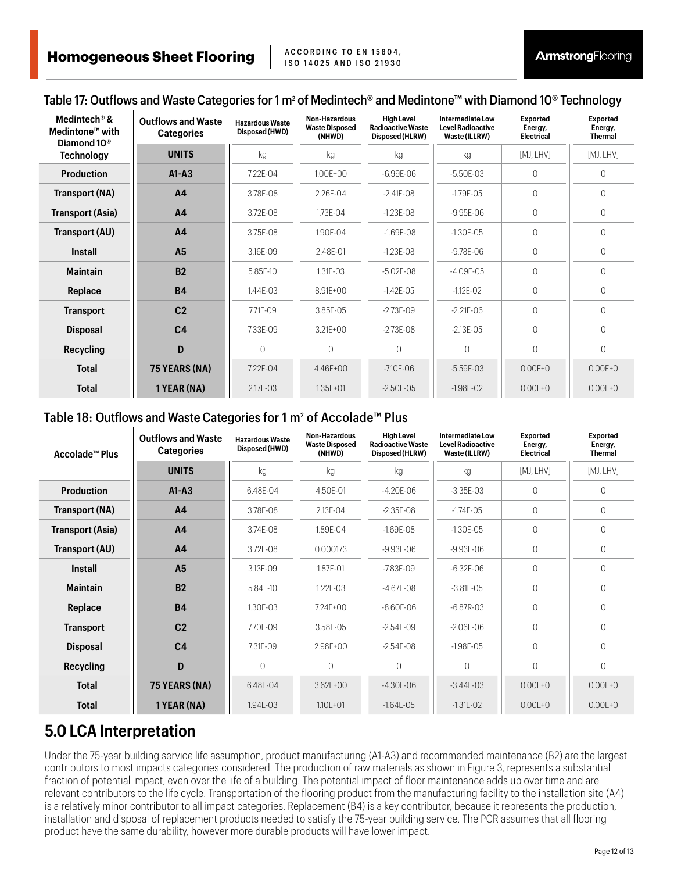#### Table 17: Outflows and Waste Categories for 1 m<sup>2</sup> of Medintech® and Medintone™ with Diamond 10® Technology

| Medintech <sup>®</sup> &<br>Medintone <sup>™</sup> with<br>Diamond 10 <sup>®</sup> | <b>Outflows and Waste</b><br><b>Categories</b> | <b>Hazardous Waste</b><br>Disposed (HWD) | Non-Hazardous<br><b>Waste Disposed</b><br>(NHWD) | <b>High Level</b><br><b>Radioactive Waste</b><br>Disposed (HLRW) | Intermediate Low<br><b>Level Radioactive</b><br>Waste (ILLRW) | <b>Exported</b><br>Energy,<br><b>Electrical</b> | <b>Exported</b><br>Energy,<br><b>Thermal</b> |
|------------------------------------------------------------------------------------|------------------------------------------------|------------------------------------------|--------------------------------------------------|------------------------------------------------------------------|---------------------------------------------------------------|-------------------------------------------------|----------------------------------------------|
| <b>Technology</b>                                                                  | <b>UNITS</b>                                   | kg                                       | kg                                               | kg                                                               | kg                                                            | [MJ, LHV]                                       | [MJ, LHV]                                    |
| <b>Production</b>                                                                  | $A1 - A3$                                      | 7.22E-04                                 | $1.00E + 00$                                     | $-6.99E - 06$                                                    | $-5.50E - 03$                                                 | 0                                               | $\Omega$                                     |
| Transport (NA)                                                                     | A <sub>4</sub>                                 | 3.78E-08                                 | 2.26E-04                                         | $-2.41E - 08$                                                    | $-1.79E - 05$                                                 | 0                                               | $\Omega$                                     |
| <b>Transport (Asia)</b>                                                            | A <sub>4</sub>                                 | 3.72E-08                                 | 1.73E-04                                         | $-1.23E - 08$                                                    | $-9.95E - 06$                                                 | 0                                               | $\Omega$                                     |
| Transport (AU)                                                                     | A <sub>4</sub>                                 | 3.75E-08                                 | 1.90E-04                                         | $-1.69E - 08$                                                    | $-1.30E - 0.5$                                                | 0                                               | $\Omega$                                     |
| <b>Install</b>                                                                     | A <sub>5</sub>                                 | 3.16E-09                                 | 2.48E-01                                         | $-1.23E - 08$                                                    | $-9.78E - 06$                                                 | 0                                               | $\Omega$                                     |
| <b>Maintain</b>                                                                    | B <sub>2</sub>                                 | 5.85E-10                                 | 1.31E-03                                         | $-5.02E - 08$                                                    | $-4.09F - 05$                                                 | 0                                               | $\Omega$                                     |
| Replace                                                                            | <b>B4</b>                                      | 1.44E-03                                 | $8.91F + 00$                                     | $-1.42E - 05$                                                    | $-1.12E - 02$                                                 | 0                                               | $\Omega$                                     |
| <b>Transport</b>                                                                   | C <sub>2</sub>                                 | 7.71E-09                                 | 3.85E-05                                         | $-2.73E - 09$                                                    | $-2.21E - 06$                                                 | 0                                               | $\Omega$                                     |
| <b>Disposal</b>                                                                    | C <sub>4</sub>                                 | 7.33E-09                                 | $3.21E + 00$                                     | $-2.73E - 08$                                                    | $-2.13E - 05$                                                 | 0                                               | $\Omega$                                     |
| <b>Recycling</b>                                                                   | D                                              | 0                                        | $\Omega$                                         | $\Omega$                                                         | $\bigcap$                                                     | $\Omega$                                        | $\cap$                                       |
| <b>Total</b>                                                                       | 75 YEARS (NA)                                  | 7.22E-04                                 | 4.46E+00                                         | $-7.10E - 06$                                                    | $-5.59E-03$                                                   | $0.00E + 0$                                     | $0.00E + 0$                                  |
| <b>Total</b>                                                                       | 1 YEAR (NA)                                    | 2.17E-03                                 | $1.35E + 01$                                     | $-2.50E - 05$                                                    | $-1.98E - 02$                                                 | $0.00E + 0$                                     | $0.00E + 0$                                  |

#### Table 18: Outflows and Waste Categories for 1 m<sup>2</sup> of Accolade™ Plus

| Accolade™ Plus          | <b>Outflows and Waste</b><br><b>Categories</b> | <b>Hazardous Waste</b><br>Disposed (HWD) | Non-Hazardous<br><b>Waste Disposed</b><br>(NHWD) | <b>High Level</b><br><b>Radioactive Waste</b><br>Disposed (HLRW) | Intermediate Low<br><b>Level Radioactive</b><br>Waste (ILLRW) | <b>Exported</b><br>Energy,<br><b>Electrical</b> | <b>Exported</b><br>Energy,<br>Thermal |
|-------------------------|------------------------------------------------|------------------------------------------|--------------------------------------------------|------------------------------------------------------------------|---------------------------------------------------------------|-------------------------------------------------|---------------------------------------|
|                         | <b>UNITS</b>                                   | kg                                       | kg                                               | kg                                                               | kg                                                            | [MJ, LHV]                                       | [MJ, LHV]                             |
| <b>Production</b>       | $A1 - A3$                                      | 6.48E-04                                 | 4.50E-01                                         | $-4.20E - 06$                                                    | $-3.35E - 03$                                                 | $\mathbf{0}$                                    | $\Omega$                              |
| Transport (NA)          | A <sub>4</sub>                                 | 3.78E-08                                 | 2.13E-04                                         | $-2.35E - 08$                                                    | $-1.74E - 05$                                                 | $\mathbf 0$                                     | $\Omega$                              |
| <b>Transport (Asia)</b> | A <sub>4</sub>                                 | 3.74E-08                                 | 1.89E-04                                         | $-1.69E - 08$                                                    | $-1.30E - 05$                                                 | $\overline{0}$                                  | $\Omega$                              |
| Transport (AU)          | A <sub>4</sub>                                 | 3.72E-08                                 | 0.000173                                         | $-9.93E - 06$                                                    | $-9.93E - 06$                                                 | $\overline{0}$                                  | $\Omega$                              |
| <b>Install</b>          | A <sub>5</sub>                                 | 3.13E-09                                 | 1.87E-01                                         | $-7.83F - 09$                                                    | $-6.32F - 06$                                                 | $\overline{0}$                                  | $\bigcap$                             |
| <b>Maintain</b>         | <b>B2</b>                                      | 5.84E-10                                 | 1.22E-03                                         | $-4.67F - 08$                                                    | $-3.81F - 0.5$                                                | $\overline{0}$                                  | $\Omega$                              |
| Replace                 | <b>B4</b>                                      | 1.30E-03                                 | 7.24E+00                                         | $-8.60E - 06$                                                    | $-6.87R - 03$                                                 | $\mathbf 0$                                     | $\Omega$                              |
| <b>Transport</b>        | C <sub>2</sub>                                 | 7.70E-09                                 | 3.58E-05                                         | $-2.54E - 09$                                                    | $-2.06E - 06$                                                 | $\mathbf{0}$                                    | $\Omega$                              |
| <b>Disposal</b>         | C <sub>4</sub>                                 | 7.31E-09                                 | 2.98E+00                                         | $-2.54E - 08$                                                    | $-1.98E - 05$                                                 | $\mathbf 0$                                     | $\Omega$                              |
| <b>Recycling</b>        | D                                              | $\Omega$                                 | $\Omega$                                         | $\Omega$                                                         | $\Omega$                                                      | $\overline{0}$                                  | $\bigcap$                             |
| <b>Total</b>            | 75 YEARS (NA)                                  | 6.48E-04                                 | $3.62E + 00$                                     | $-4.30E - 06$                                                    | $-3.44E - 03$                                                 | $0.00E + 0$                                     | $0.00E + 0$                           |
| <b>Total</b>            | 1 YEAR (NA)                                    | 1.94E-03                                 | $1.10E + 01$                                     | $-1.64F - 0.5$                                                   | $-1.31E - 02$                                                 | $0.00E + 0$                                     | $0.00E + 0$                           |

#### **5.0 LCA Interpretation**

Under the 75-year building service life assumption, product manufacturing (A1-A3) and recommended maintenance (B2) are the largest contributors to most impacts categories considered. The production of raw materials as shown in Figure 3, represents a substantial fraction of potential impact, even over the life of a building. The potential impact of floor maintenance adds up over time and are relevant contributors to the life cycle. Transportation of the flooring product from the manufacturing facility to the installation site (A4) is a relatively minor contributor to all impact categories. Replacement (B4) is a key contributor, because it represents the production, installation and disposal of replacement products needed to satisfy the 75-year building service. The PCR assumes that all flooring product have the same durability, however more durable products will have lower impact.